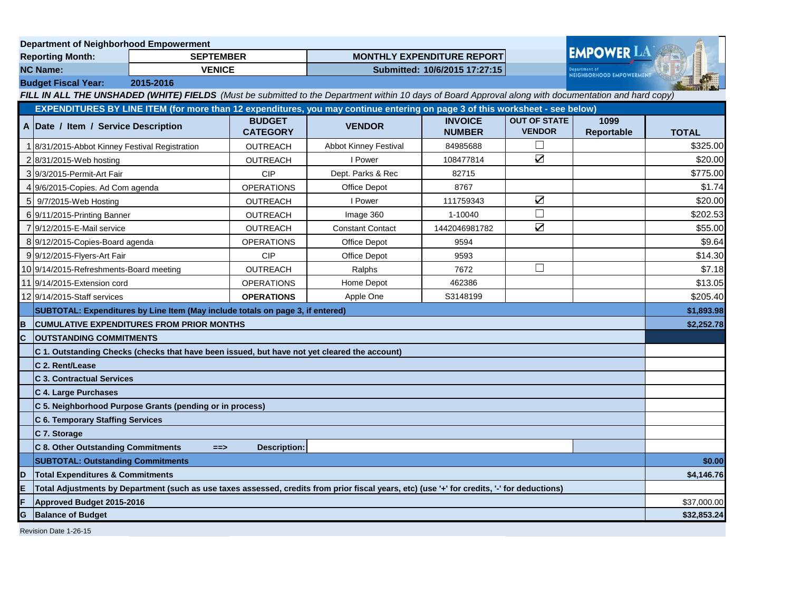|                                                                                                                                                       | <b>Department of Neighborhood Empowerment</b>                                                                                                |                  |                                  |                                   |                                 |                                                 |                    |              |
|-------------------------------------------------------------------------------------------------------------------------------------------------------|----------------------------------------------------------------------------------------------------------------------------------------------|------------------|----------------------------------|-----------------------------------|---------------------------------|-------------------------------------------------|--------------------|--------------|
| <b>Reporting Month:</b>                                                                                                                               |                                                                                                                                              | <b>SEPTEMBER</b> |                                  | <b>MONTHLY EXPENDITURE REPORT</b> |                                 |                                                 | <b>EMPOWER LA</b>  |              |
| <b>NC Name:</b><br><b>VENICE</b>                                                                                                                      |                                                                                                                                              |                  | Submitted: 10/6/2015 17:27:15    |                                   |                                 | epartment of<br><b>NEIGHBORHOOD EMPOWERMENT</b> |                    |              |
|                                                                                                                                                       | <b>Budget Fiscal Year:</b><br>2015-2016                                                                                                      |                  |                                  |                                   |                                 |                                                 |                    |              |
| FILL IN ALL THE UNSHADED (WHITE) FIELDS (Must be submitted to the Department within 10 days of Board Approval along with documentation and hard copy) |                                                                                                                                              |                  |                                  |                                   |                                 |                                                 |                    |              |
|                                                                                                                                                       | EXPENDITURES BY LINE ITEM (for more than 12 expenditures, you may continue entering on page 3 of this worksheet - see below)                 |                  |                                  |                                   |                                 |                                                 |                    |              |
|                                                                                                                                                       | A Date / Item / Service Description                                                                                                          |                  | <b>BUDGET</b><br><b>CATEGORY</b> | <b>VENDOR</b>                     | <b>INVOICE</b><br><b>NUMBER</b> | <b>OUT OF STATE</b><br><b>VENDOR</b>            | 1099<br>Reportable | <b>TOTAL</b> |
|                                                                                                                                                       | 8/31/2015-Abbot Kinney Festival Registration                                                                                                 |                  | <b>OUTREACH</b>                  | <b>Abbot Kinney Festival</b>      | 84985688                        |                                                 |                    | \$325.00     |
|                                                                                                                                                       | 2 8/31/2015-Web hosting                                                                                                                      |                  | <b>OUTREACH</b>                  | I Power                           | 108477814                       | $\sum$                                          |                    | \$20.00      |
|                                                                                                                                                       | 319/3/2015-Permit-Art Fair                                                                                                                   |                  | <b>CIP</b>                       | Dept. Parks & Rec                 | 82715                           |                                                 |                    | \$775.00     |
|                                                                                                                                                       | 4 9/6/2015-Copies. Ad Com agenda                                                                                                             |                  | <b>OPERATIONS</b>                | Office Depot                      | 8767                            |                                                 |                    | \$1.74       |
|                                                                                                                                                       | 5 9/7/2015-Web Hosting                                                                                                                       |                  | <b>OUTREACH</b>                  | I Power                           | 111759343                       | $\sum$                                          |                    | \$20.00      |
|                                                                                                                                                       | 6 9/11/2015-Printing Banner                                                                                                                  |                  | <b>OUTREACH</b>                  | Image 360                         | 1-10040                         | П                                               |                    | \$202.53     |
|                                                                                                                                                       | 9/12/2015-E-Mail service                                                                                                                     |                  | <b>OUTREACH</b>                  | <b>Constant Contact</b>           | 1442046981782                   | $\triangledown$                                 |                    | \$55.00      |
|                                                                                                                                                       | 8 9/12/2015-Copies-Board agenda                                                                                                              |                  | <b>OPERATIONS</b>                | Office Depot                      | 9594                            |                                                 |                    | \$9.64       |
|                                                                                                                                                       | 9 9/12/2015-Flyers-Art Fair                                                                                                                  |                  | <b>CIP</b>                       | <b>Office Depot</b>               | 9593                            |                                                 |                    | \$14.30      |
|                                                                                                                                                       | 10 9/14/2015-Refreshments-Board meeting                                                                                                      |                  | <b>OUTREACH</b>                  | Ralphs                            | 7672                            | $\Box$                                          |                    | \$7.18       |
|                                                                                                                                                       | 11 9/14/2015-Extension cord                                                                                                                  |                  | <b>OPERATIONS</b>                | Home Depot                        | 462386                          |                                                 |                    | \$13.05      |
|                                                                                                                                                       | 1219/14/2015-Staff services                                                                                                                  |                  | <b>OPERATIONS</b>                | Apple One                         | S3148199                        |                                                 |                    | \$205.40     |
|                                                                                                                                                       | SUBTOTAL: Expenditures by Line Item (May include totals on page 3, if entered)                                                               |                  |                                  |                                   |                                 |                                                 | \$1,893.98         |              |
| B                                                                                                                                                     | <b>CUMULATIVE EXPENDITURES FROM PRIOR MONTHS</b>                                                                                             |                  |                                  |                                   |                                 |                                                 | \$2,252.78         |              |
| C                                                                                                                                                     | <b>OUTSTANDING COMMITMENTS</b>                                                                                                               |                  |                                  |                                   |                                 |                                                 |                    |              |
|                                                                                                                                                       | C 1. Outstanding Checks (checks that have been issued, but have not yet cleared the account)                                                 |                  |                                  |                                   |                                 |                                                 |                    |              |
|                                                                                                                                                       | C 2. Rent/Lease                                                                                                                              |                  |                                  |                                   |                                 |                                                 |                    |              |
|                                                                                                                                                       | <b>C 3. Contractual Services</b>                                                                                                             |                  |                                  |                                   |                                 |                                                 |                    |              |
|                                                                                                                                                       | C 4. Large Purchases                                                                                                                         |                  |                                  |                                   |                                 |                                                 |                    |              |
|                                                                                                                                                       | C 5. Neighborhood Purpose Grants (pending or in process)                                                                                     |                  |                                  |                                   |                                 |                                                 |                    |              |
|                                                                                                                                                       | <b>C 6. Temporary Staffing Services</b>                                                                                                      |                  |                                  |                                   |                                 |                                                 |                    |              |
|                                                                                                                                                       | C 7. Storage                                                                                                                                 |                  |                                  |                                   |                                 |                                                 |                    |              |
|                                                                                                                                                       | <b>C 8. Other Outstanding Commitments</b>                                                                                                    | $==$             | <b>Description:</b>              |                                   |                                 |                                                 |                    |              |
|                                                                                                                                                       | <b>SUBTOTAL: Outstanding Commitments</b>                                                                                                     |                  |                                  |                                   |                                 |                                                 | \$0.00             |              |
| ID                                                                                                                                                    | <b>Total Expenditures &amp; Commitments</b>                                                                                                  |                  |                                  |                                   |                                 |                                                 | \$4,146.76         |              |
| E                                                                                                                                                     | Total Adjustments by Department (such as use taxes assessed, credits from prior fiscal years, etc) (use '+' for credits, '-' for deductions) |                  |                                  |                                   |                                 |                                                 |                    |              |
|                                                                                                                                                       | Approved Budget 2015-2016                                                                                                                    |                  |                                  |                                   |                                 |                                                 | \$37,000.00        |              |
| G<br><b>Balance of Budget</b>                                                                                                                         |                                                                                                                                              |                  |                                  |                                   |                                 | \$32,853.24                                     |                    |              |
| Revision Date 1-26-15                                                                                                                                 |                                                                                                                                              |                  |                                  |                                   |                                 |                                                 |                    |              |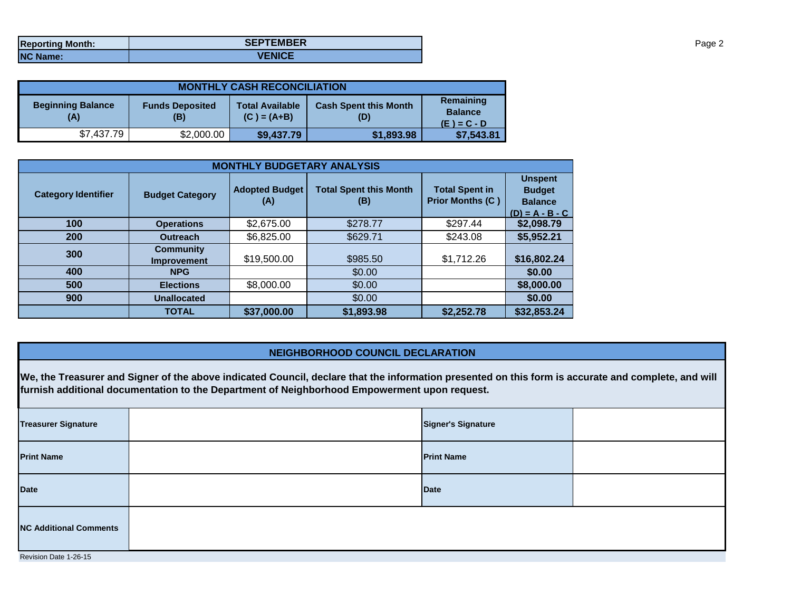| <b>Reporting Month:</b> | <b>SEPTEMBER</b> |
|-------------------------|------------------|
| <b>NC Name:</b>         | <b>VENICE</b>    |

| <b>MONTHLY CASH RECONCILIATION</b> |                               |                                         |                                     |                                              |  |  |  |
|------------------------------------|-------------------------------|-----------------------------------------|-------------------------------------|----------------------------------------------|--|--|--|
| <b>Beginning Balance</b><br>(A)    | <b>Funds Deposited</b><br>(B) | <b>Total Available</b><br>$(C) = (A+B)$ | <b>Cash Spent this Month</b><br>(D) | Remaining<br><b>Balance</b><br>$(E) = C - D$ |  |  |  |
| \$7,437.79                         | \$2,000.00                    | \$9,437.79                              | \$1,893.98                          | \$7,543.81                                   |  |  |  |

| <b>MONTHLY BUDGETARY ANALYSIS</b> |                                        |                              |                                      |                                                  |                                                                        |  |  |
|-----------------------------------|----------------------------------------|------------------------------|--------------------------------------|--------------------------------------------------|------------------------------------------------------------------------|--|--|
| <b>Category Identifier</b>        | <b>Budget Category</b>                 | <b>Adopted Budget</b><br>(A) | <b>Total Spent this Month</b><br>(B) | <b>Total Spent in</b><br><b>Prior Months (C)</b> | <b>Unspent</b><br><b>Budget</b><br><b>Balance</b><br>$(D) = A - B - C$ |  |  |
| 100                               | <b>Operations</b>                      | \$2,675.00                   | \$278.77                             | \$297.44                                         | \$2,098.79                                                             |  |  |
| 200                               | <b>Outreach</b>                        | \$6,825.00                   | \$629.71                             | \$243.08                                         | \$5,952.21                                                             |  |  |
| 300                               | <b>Community</b><br><b>Improvement</b> | \$19,500.00                  | \$985.50                             | \$1,712.26                                       | \$16,802.24                                                            |  |  |
| 400                               | <b>NPG</b>                             |                              | \$0.00                               |                                                  | \$0.00                                                                 |  |  |
| 500                               | <b>Elections</b>                       | \$8,000.00                   | \$0.00                               |                                                  | \$8,000.00                                                             |  |  |
| 900                               | <b>Unallocated</b>                     |                              | \$0.00                               |                                                  | \$0.00                                                                 |  |  |
|                                   | <b>TOTAL</b>                           | \$37,000.00                  | \$1,893.98                           | \$2,252.78                                       | \$32,853.24                                                            |  |  |

## **NEIGHBORHOOD COUNCIL DECLARATION**

**We, the Treasurer and Signer of the above indicated Council, declare that the information presented on this form is accurate and complete, and will furnish additional documentation to the Department of Neighborhood Empowerment upon request.**

| <b>Treasurer Signature</b>    |  | <b>Signer's Signature</b> |  |  |  |
|-------------------------------|--|---------------------------|--|--|--|
| <b>Print Name</b>             |  | <b>Print Name</b>         |  |  |  |
| <b>Date</b>                   |  | <b>Date</b>               |  |  |  |
| <b>NC Additional Comments</b> |  |                           |  |  |  |
| Revision Date 1-26-15         |  |                           |  |  |  |